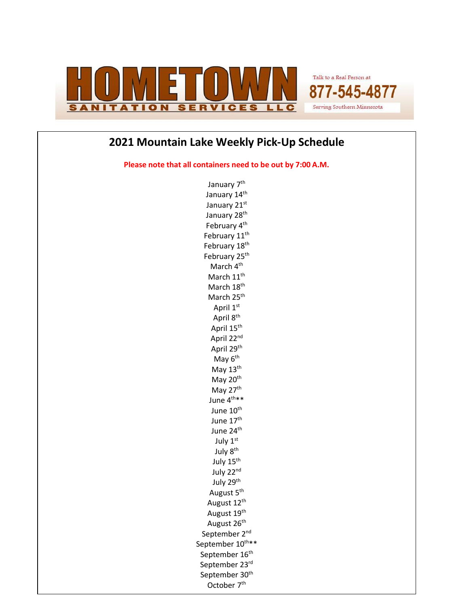

Talk to a Real Person at 877-545-4877 Serving Southern Minnesota

## **2021 Mountain Lake Weekly Pick-Up Schedule**

**Please note that all containers need to be out by 7:00 A.M.**

January 7<sup>th</sup> January 14<sup>th</sup> January 21st January 28<sup>th</sup> February 4<sup>th</sup> February 11<sup>th</sup> February 18<sup>th</sup> February 25<sup>th</sup> March 4<sup>th</sup> March 11<sup>th</sup> March 18<sup>th</sup> March 25<sup>th</sup> April 1st April 8<sup>th</sup> April 15<sup>th</sup> April 22nd April 29th May  $6<sup>th</sup>$ May 13<sup>th</sup> May 20<sup>th</sup> May 27<sup>th</sup> June 4<sup>th\*\*</sup> June 10<sup>th</sup> June 17<sup>th</sup> June 24<sup>th</sup> July 1st July 8<sup>th</sup> July 15<sup>th</sup> July 22nd July 29<sup>th</sup> August 5<sup>th</sup> August 12<sup>th</sup> August 19<sup>th</sup> August 26<sup>th</sup> September 2<sup>nd</sup> September 10<sup>th\*\*</sup> September 16<sup>th</sup> September 23rd September 30<sup>th</sup> October 7<sup>th</sup>